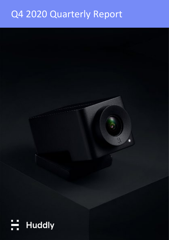# Q4 2020 Quarterly Report

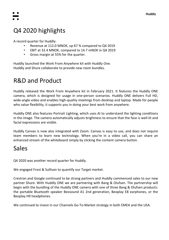

## Q4 2020 highlights

A record quarter for Huddly:

- Revenue at 112.0 MNOK, up 67 % compared to Q4 2019
- EBIT at 32.4 MNOK, compared to 14.7 mNOK in Q4 2019
- Gross margin at 55% for the quarter.

Huddly launched the Work From Anywhere kit with Huddly One. Huddly and Shure collaborate to provide new room bundles.

## R&D and Product

Huddly released the Work From Anywhere kit in February 2021. It features the Huddly ONE camera, which is designed for usage in one-person scenarios. Huddly ONE delivers Full HD, wide-angle video and enables high-quality meetings from desktop and laptop. Made for people who value flexibility, it supports you in doing your best work from anywhere.

Huddly ONE also features Portrait Lighting, which uses AI to understand the lighting conditions in the image. The camera automatically adjusts brightness to ensure that the face is well-lit and facial expressions are visible.

Huddly Canvas is now also integrated with Zoom. Canvas is easy to use, and does not require team members to learn new technology. When you're in a video call, you can share an enhanced stream of the whiteboard simply by clicking the content camera button.

## Sales

Q4 2020 was another record quarter for Huddly.

We engaged Frost & Sullivan to quantify our Target market.

Crestron and Google continued to be strong partners and Huddly commenced sales to our new partner Shure. With Huddly ONE we are partnering with Bang & Olufsen. The partnership will begin with the bundling of the Huddly ONE camera with one of three Bang & Olufsen products: the portable Bluetooth speaker Beosound A1 2nd generation, Beoplay E8 earphones, or the Beoplay H9 headphones.

We continued to invest in our Channels Go-To-Market strategy in both EMEA and the USA.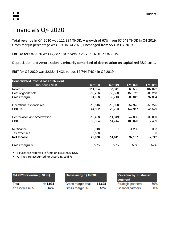## Financials Q4 2020

Total revenue in Q4 2020 was 111,994 TNOK, A growth of 67% from 67,041 TNOK in Q4 2019. Gross margin percentage was 55% in Q4 2020, unchanged from 55% in Q4 2019.

EBITDA for Q4 2020 was 44,882 TNOK versus 25,793 TNOK in Q4 2019.

Depreciation and Amortization is primarily comprised of depreciation on capitalized R&D costs.

EBIT for Q4 2020 was 32,384 TNOK versus 14,744 TNOK in Q4 2019.

| <b>Consolidated Profit &amp; loss statement</b> |           |           |            |             |
|-------------------------------------------------|-----------|-----------|------------|-------------|
| Thousands NOK                                   | Q4 2020   | Q4 2019   | FY 2020    | FY 2019     |
| Revenue                                         | 111,994   | 67,041    | 365,555    | 187,022     |
| Cost of goods sold                              | $-50,296$ | $-30,328$ | $-159,712$ | $-89,218$   |
| Gross margin                                    | 61,698    | 36,713    | 205,842    | 97,804      |
|                                                 |           |           |            |             |
| Operational expenditures                        | $-16,816$ | $-10,920$ | $-57,925$  | $-56,275$   |
| <b>EBITDA</b>                                   | 44,882    | 25,793    | 147,917    | 41,529      |
|                                                 |           |           |            |             |
| Depreciation and Amortization                   | $-12,498$ | $-11,049$ | $-42,896$  | $-39,090$   |
| <b>EBIT</b>                                     | 32,384    | 14,744    | 105,020    | 2,439       |
|                                                 |           |           |            |             |
| Net finance                                     | $-5,918$  | 97        | $-4,266$   | 303         |
| Tax expenses                                    | $-3,588$  |           |            | $\mathbf 0$ |
| <b>Net Income</b>                               | 22,878    | 14,841    | 97,167     | 2,742       |
| Gross margin %                                  | 55%       | 55%       | 56%        | 52%         |

<sup>▪</sup> Figures are reported in functional currency NOK

▪ All lines are accounted for according to IFRS

| Q4 2020 revenue (TNOK) |         | Gross margin (TNOK) |        | Revenue by customer<br>segment |     |
|------------------------|---------|---------------------|--------|--------------------------------|-----|
| Total                  | 111,994 | Gross margin total  | 61,698 | Strategic partners             | 70% |
| YoY increase %         | 67%     | Gross margin %      | 55%    | Channel partners               | 30% |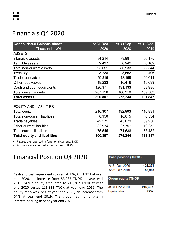## Financials Q4 2020

| <b>Consolidated Balance sheet</b> | At 31 Dec | At 30 Sep | At 31 Dec |
|-----------------------------------|-----------|-----------|-----------|
| Thousands NOK                     | 2020      | 2020      | 2019      |
| <b>ASSETS</b>                     |           |           |           |
| Intangible assets                 | 84,214    | 79,991    | 66,175    |
| Tangible assets                   | 9,437     | 6,942     | 6,169     |
| Total non-current assets          | 93,651    | 86,933    | 72,344    |
| Inventory                         | 3,238     | 3,562     | 406       |
| Trade receivables                 | 59,315    | 43,199    | 40,014    |
| Other receivables                 | 18,233    | 10,416    | 15,099    |
| Cash and cash equivalents         | 126,371   | 131,133   | 53,985    |
| Total current assets              | 207,156   | 188,310   | 109,503   |
| <b>Total assets</b>               | 300,807   | 275,244   | 181,847   |

#### EQUITY AND LIABILITIES

| <b>Total equity and liabilities</b> | 300,807 | 275,244 | 181,847 |
|-------------------------------------|---------|---------|---------|
| <b>Total current liabilities</b>    | 75,545  | 71,636  | 58,482  |
| Other current liabilities           | 32,974  | 27,757  | 19,252  |
| Trade payables                      | 42,571  | 43,879  | 39,230  |
| Total non-current liabilities       | 8,956   | 10,615  | 6,534   |
| Total equity                        | 216,307 | 192,993 | 116,831 |

Figures are reported in functional currency NOK

▪ All lines are accounted for according to IFRS

### Financial Position Q4 2020

Cash and cash equivalents closed at 126,371 TNOK at year end 2020, an increase from 53,985 TNOK at year end 2019. Group equity amounted to 216,307 TNOK at year end 2020 versus 116,831 TNOK at year end 2019. The equity ratio was 72% at year end 2020, an increase from 64% at year end 2019. The group had no long-term interest-bearing debt at year end 2020.

| <b>Cash position (TNOK)</b> |         |
|-----------------------------|---------|
| At 31 Dec 2020              | 126,371 |
| At 31 Dec 2019              | 53,985  |
|                             |         |

| <b>Group equity (TNOK)</b> |         |
|----------------------------|---------|
| At 31 Dec 2020             | 216,307 |
| Equity ratio               | 72%     |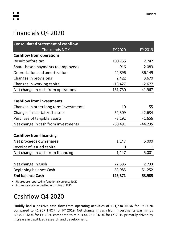## Financials Q4 2020

| <b>Consolidated Statement of cashflow</b> |           |           |
|-------------------------------------------|-----------|-----------|
| <b>Thousands NOK</b>                      | FY 2020   | FY 2019   |
| <b>Cashflow from operations</b>           |           |           |
| Result before tax                         | 100,755   | 2,742     |
| Share-based payments to employees         | $-916$    | 2,083     |
| Depreciation and amortization             | 42,896    | 36,149    |
| Changes in provisions                     | 2,422     | 3,670     |
| Changes in working capital                | $-13,427$ | $-2,677$  |
| Net change in cash from operations        | 131,730   | 41,967    |
|                                           |           |           |
| <b>Cashflow from investments</b>          |           |           |
| Changes in other long term investments    | 10        | 55        |
| Changes in capitalized assets             | $-52,309$ | $-42,634$ |
| Purchase of tangible assets               | $-8,192$  | $-1,656$  |
| Net change in cash from investments       | $-60,491$ | $-44,235$ |
|                                           |           |           |
| <b>Cashflow from financing</b>            |           |           |
| Net proceeds own shares                   | 1,147     | 5,000     |
| Receipt of issued capital                 | 0         | 1         |
| Net change in cash from financing         | 1,147     | 5,001     |
|                                           |           |           |
| Net change in Cash                        | 72,386    | 2,733     |
| Beginning balance Cash                    | 53,985    | 51,252    |
| <b>End balance Cash</b>                   | 126,371   | 53,985    |

▪ Figures are reported in functional currency NOK

▪ All lines are accounted for according to IFRS

## Cashflow Q4 2020

Huddly had a positive cash flow from operating activities of 131,730 TNOK for FY 2020 compared to 41,967 TNOK for FY 2019. Net change in cash from investments was minus 60,491 TNOK for FY 2020 compared to minus 44,235 TNOK for FY 2019 primarily driven by increase in capitilzed research and development.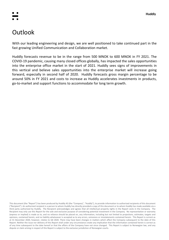## **Outlook**

With our leading engineering and design, we are well positioned to take continued part in the fast growing Unified Communication and Collaboration market.

Huddly forecasts revenue to be in the range from 500 MNOK to 600 MNOK in FY 2021. The COVID-19 pandemic, causing many closed offices globally, has impacted the sales opportunities into the enterprise office market in the start of 2021. Huddly sees signs of improvements in this vertical and believe sales opportunities into the enterprise market will increase going forward, especially in second half of 2020. Huddly forecasts gross margin percentage to be around 50% in FY 2021 and costs to increase as Huddly accelerates investments in products, go-to-market and support functions to accommodate for long term growth.

This document (the "Report") has been produced by Huddly AS (the "Company", "Huddly"), to provide information to authorized recipients of this document ("Recipient"). An authorized recipient is a person to whom Huddly has directly provided a copy of this document or to whom Huddly has made available via a third party authorized by Huddly. The Recipient acknowledges and agrees that all intellectual property rights in the Report vests in the Company. The Recipient may only use this Report for the sole and exclusive purpose of considering potential investment in the Company. No representation or warranty (express or implied) is made as to, and no reliance should be placed on, any information, including but not limited to projections, estimates, targets and opinions, contained herein, and no liability whatsoever is accepted as to any errors, omissions or misstatements contained herein. This Report is current as at 31 December 2020, however, relates to Q4 2020. There may have been changes in matters which affect the Company subsequent to the date of this Report. Neither the issue nor delivery of this Report shall under any circumstance create any implication that the information contained herein is correct as of any time subsequent to the date hereof or that the affairs of the Company have not since changed. This Report is subject to Norwegian law, and any dispute or claim arising in respect of this Report is subject to the exclusive jurisdiction of Norwegian courts.